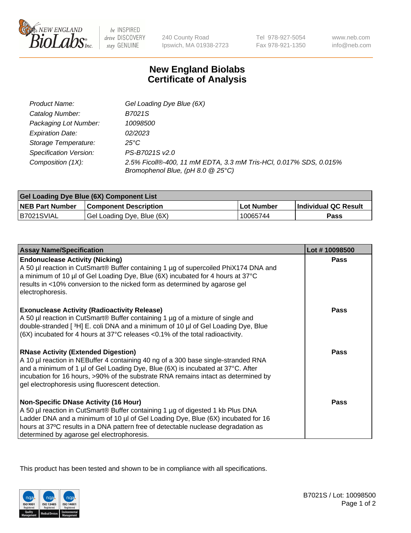

 $be$  INSPIRED drive DISCOVERY stay GENUINE

240 County Road Ipswich, MA 01938-2723 Tel 978-927-5054 Fax 978-921-1350 www.neb.com info@neb.com

## **New England Biolabs Certificate of Analysis**

| Product Name:           | Gel Loading Dye Blue (6X)                                                                              |
|-------------------------|--------------------------------------------------------------------------------------------------------|
| Catalog Number:         | B7021S                                                                                                 |
| Packaging Lot Number:   | 10098500                                                                                               |
| <b>Expiration Date:</b> | 02/2023                                                                                                |
| Storage Temperature:    | 25°C                                                                                                   |
| Specification Version:  | PS-B7021S v2.0                                                                                         |
| Composition (1X):       | 2.5% Ficoll®-400, 11 mM EDTA, 3.3 mM Tris-HCl, 0.017% SDS, 0.015%<br>Bromophenol Blue, (pH 8.0 @ 25°C) |

| <b>Gel Loading Dye Blue (6X) Component List</b> |                              |            |                      |  |
|-------------------------------------------------|------------------------------|------------|----------------------|--|
| <b>NEB Part Number</b>                          | <b>Component Description</b> | Lot Number | Individual QC Result |  |
| B7021SVIAL                                      | Gel Loading Dye, Blue (6X)   | 10065744   | Pass                 |  |

| <b>Assay Name/Specification</b>                                                                                                                                                                                                                                                                                                                              | Lot #10098500 |
|--------------------------------------------------------------------------------------------------------------------------------------------------------------------------------------------------------------------------------------------------------------------------------------------------------------------------------------------------------------|---------------|
| <b>Endonuclease Activity (Nicking)</b><br>A 50 µl reaction in CutSmart® Buffer containing 1 µg of supercoiled PhiX174 DNA and<br>a minimum of 10 µl of Gel Loading Dye, Blue (6X) incubated for 4 hours at 37°C<br>results in <10% conversion to the nicked form as determined by agarose gel<br>electrophoresis.                                            | Pass          |
| <b>Exonuclease Activity (Radioactivity Release)</b><br>A 50 µl reaction in CutSmart® Buffer containing 1 µg of a mixture of single and<br>double-stranded [3H] E. coli DNA and a minimum of 10 µl of Gel Loading Dye, Blue<br>$(6X)$ incubated for 4 hours at 37 $^{\circ}$ C releases <0.1% of the total radioactivity.                                     | <b>Pass</b>   |
| <b>RNase Activity (Extended Digestion)</b><br>A 10 µl reaction in NEBuffer 4 containing 40 ng of a 300 base single-stranded RNA<br>and a minimum of 1 µl of Gel Loading Dye, Blue (6X) is incubated at 37°C. After<br>incubation for 16 hours, >90% of the substrate RNA remains intact as determined by<br>gel electrophoresis using fluorescent detection. | <b>Pass</b>   |
| <b>Non-Specific DNase Activity (16 Hour)</b><br>A 50 µl reaction in CutSmart® Buffer containing 1 µg of digested 1 kb Plus DNA<br>Ladder DNA and a minimum of 10 µl of Gel Loading Dye, Blue (6X) incubated for 16<br>hours at 37°C results in a DNA pattern free of detectable nuclease degradation as<br>determined by agarose gel electrophoresis.        | <b>Pass</b>   |

This product has been tested and shown to be in compliance with all specifications.